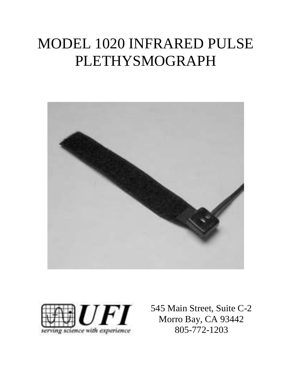# MODEL 1020 INFRARED PULSE PLETHYSMOGRAPH





545 Main Street, Suite C-2 Morro Bay, CA 93442 805-772-1203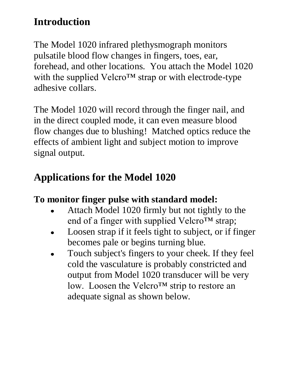## **Introduction**

The Model 1020 infrared plethysmograph monitors pulsatile blood flow changes in fingers, toes, ear, forehead, and other locations. You attach the Model 1020 with the supplied Velcro™ strap or with electrode-type adhesive collars.

The Model 1020 will record through the finger nail, and in the direct coupled mode, it can even measure blood flow changes due to blushing! Matched optics reduce the effects of ambient light and subject motion to improve signal output.

# **Applications for the Model 1020**

### **To monitor finger pulse with standard model:**

- Attach Model 1020 firmly but not tightly to the  $\bullet$ end of a finger with supplied Velcro™ strap;
- Loosen strap if it feels tight to subject, or if finger  $\bullet$ becomes pale or begins turning blue.
- Touch subject's fingers to your cheek. If they feel  $\bullet$ cold the vasculature is probably constricted and output from Model 1020 transducer will be very low. Loosen the Velcro™ strip to restore an adequate signal as shown below.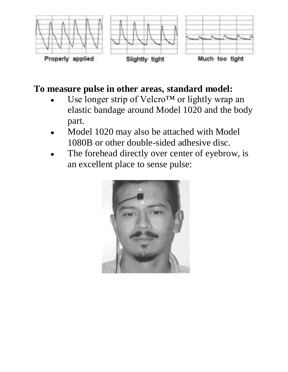

### **To measure pulse in other areas, standard model:**

- Use longer strip of Velcro™ or lightly wrap an elastic bandage around Model 1020 and the body part.
- Model 1020 may also be attached with Model 1080B or other double-sided adhesive disc.
- The forehead directly over center of eyebrow, is an excellent place to sense pulse:

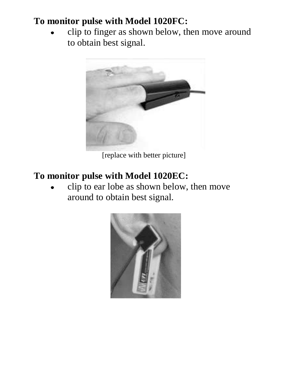### **To monitor pulse with Model 1020FC:**

clip to finger as shown below, then move around to obtain best signal.



[replace with better picture]

### **To monitor pulse with Model 1020EC:**

clip to ear lobe as shown below, then move around to obtain best signal.

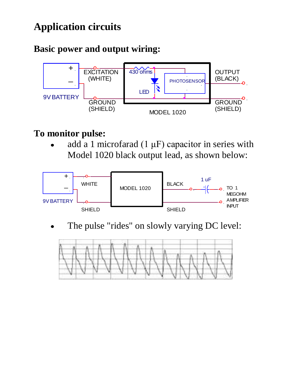# **Application circuits**

### **Basic power and output wiring:**



### **To monitor pulse:**

add a 1 microfarad  $(1 \mu F)$  capacitor in series with Model 1020 black output lead, as shown below:



The pulse "rides" on slowly varying DC level:

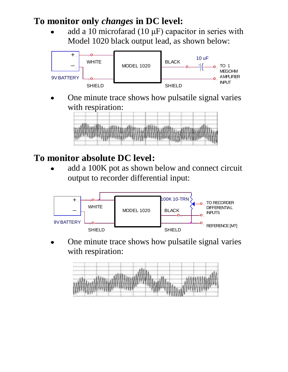#### **To monitor only** *changes* **in DC level:**

add a 10 microfarad (10 μF) capacitor in series with Model 1020 black output lead, as shown below:



One minute trace shows how pulsatile signal varies with respiration:



### **To monitor absolute DC level:**

add a 100K pot as shown below and connect circuit output to recorder differential input:



One minute trace shows how pulsatile signal varies with respiration:

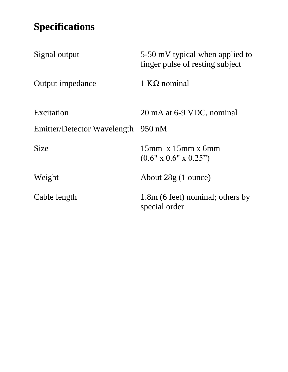# **Specifications**

| Signal output                      | 5-50 mV typical when applied to<br>finger pulse of resting subject |
|------------------------------------|--------------------------------------------------------------------|
| Output impedance                   | 1 KO nominal                                                       |
| Excitation                         | 20 mA at 6-9 VDC, nominal                                          |
| Emitter/Detector Wavelength 950 nM |                                                                    |
| <b>Size</b>                        | $15$ mm x $15$ mm x 6mm<br>$(0.6" \times 0.6" \times 0.25")$       |
| Weight                             | About $28g(1)$ ounce)                                              |
| Cable length                       | 1.8m (6 feet) nominal; others by<br>special order                  |